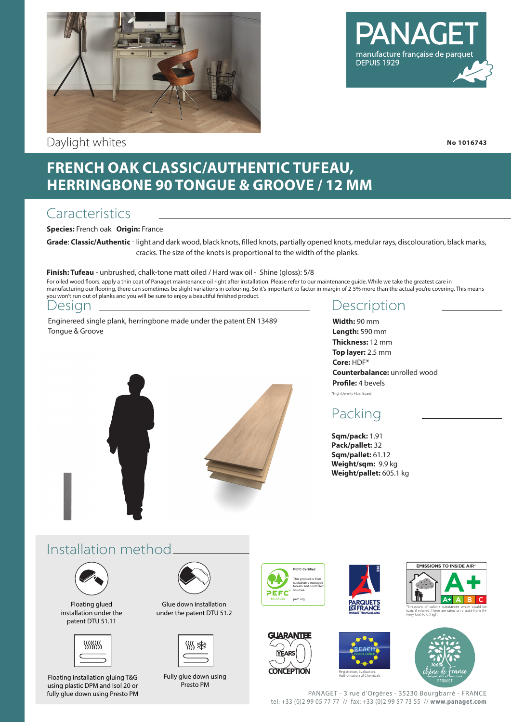

Daylight whites

# manufacture française de parque DEPUIS 1929

**No 1016743**

## **FRENCH OAK CLASSIC/AUTHENTIC TUFEAU, HERRINGBONE 90 TONGUE & GROOVE / 12 MM**

### **Caracteristics**

**Species:** French oak **Origin:** France

**Grade**: **Classic/Authentic** - light and dark wood, black knots, filled knots, partially opened knots, medular rays, discolouration, black marks, cracks. The size of the knots is proportional to the width of the planks.

#### **Finish: Tufeau** - unbrushed, chalk-tone matt oiled / Hard wax oil - Shine (gloss): 5/8

For oiled wood floors, apply a thin coat of Panaget maintenance oil right after installation. Please refer to our maintenance guide. While we take the greatest care in manufacturing our flooring, there can sometimes be slight variations in colouring. So it's important to factor in margin of 2-5% more than the actual you're covering. This means you won't run out of planks and you will be sure to enjoy a beautiful finished product.

#### Design

Enginereed single plank, herringbone made under the patent EN 13489 Tongue & Groove



**Width:** 90 mm **Length:** 590 mm **Thickness:** 12 mm **Top layer:** 2.5 mm **Core:** HDF\* **Counterbalance:** unrolled wood **Profile:** 4 bevels \*High Density Fiber Board

## Packing

**Sqm/pack:** 1.91 **Pack/pallet:** 32 **Sqm/pallet:** 61.12 **Weight/sqm:** 9.9 kg **Weight/pallet:** 605.1 kg

## Installation method



Floating glued installation under the patent DTU 51.11



Floating installation gluing T&G using plastic DPM and Isol 20 or fully glue down using Presto PM



Glue down installation under the patent DTU 51.2



Fully glue down using Presto PM



**YEARS** 









Authorisation of Chemicals

PANAGET - 3 rue d'Orgères - 35230 Bourgbarré - FRANCE tel: +33 (0)2 99 05 77 77 // fax: +33 (0)2 99 57 73 55 // **www.panaget.com**